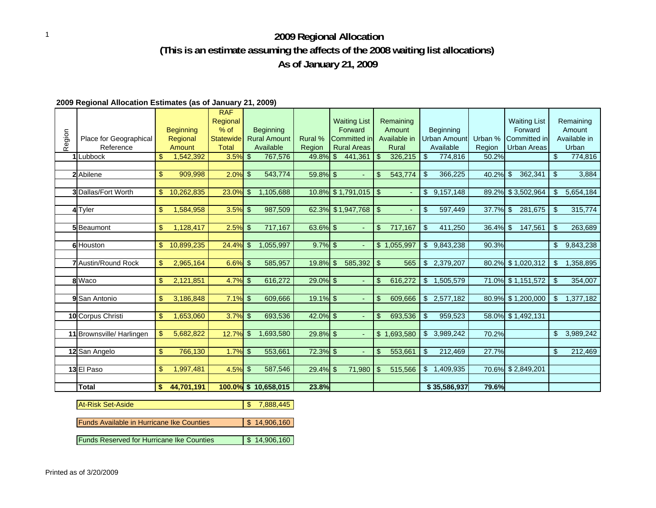## <sup>1</sup> **2009 Regional Allocation (This is an estimate assuming the affects of the 2008 waiting list allocations) As of January 21, 2009**

## **2009 Regional Allocation Estimates (as of January 21, 2009)**

| Region | Place for Geographical<br>Reference<br>1Lubbock | \$             | <b>Beginning</b><br>Regional<br>Amount<br>1,542,392 | <b>RAF</b><br>Regional<br>$%$ of<br>Statewide<br><b>Total</b><br>$3.5\%$ \$ |                | <b>Beginning</b><br><b>Rural Amount</b><br>Available<br>767,576 | Rural %<br>Region<br>49.8% \$ | <b>Waiting List</b><br>Forward<br><b>Committed in</b><br><b>Rural Areas</b><br>441,361 | -\$            | Remaining<br>Amount<br>Available in<br>Rural<br>326,215 | \$<br>Beginning<br>Urban Amount<br>Available<br>774,816 | Urban %<br>Region<br>50.2% |            | <b>Waiting List</b><br>Forward<br>Committed in<br><b>Urban Areas</b> | \$             | Remaining<br>Amount<br>Available in<br>Urban<br>774,816 |
|--------|-------------------------------------------------|----------------|-----------------------------------------------------|-----------------------------------------------------------------------------|----------------|-----------------------------------------------------------------|-------------------------------|----------------------------------------------------------------------------------------|----------------|---------------------------------------------------------|---------------------------------------------------------|----------------------------|------------|----------------------------------------------------------------------|----------------|---------------------------------------------------------|
|        |                                                 |                |                                                     |                                                                             |                |                                                                 |                               |                                                                                        |                |                                                         |                                                         |                            |            |                                                                      |                |                                                         |
|        | 2 Abilene                                       | \$             | 909,998                                             | 2.0%                                                                        | $\mathfrak{L}$ | 543,774                                                         | 59.8% \$                      | ÷.                                                                                     | $\mathfrak{L}$ | 543,774                                                 | \$<br>366,225                                           | 40.2% \$                   |            | 362,341                                                              | $\mathfrak{L}$ | 3,884                                                   |
|        | <b>3</b> Dallas/Fort Worth                      | \$             | 10,262,835                                          | 23.0%                                                                       | \$             | 1,105,688                                                       |                               | 10.8% \$1,791,015                                                                      | l \$           |                                                         | \$<br>9,157,148                                         |                            |            | 89.2% \$3,502,964                                                    | \$             | 5,654,184                                               |
|        | 4 Tyler                                         | \$             | 1,584,958                                           | 3.5%                                                                        | $\mathfrak{L}$ | 987,509                                                         |                               | 62.3% \$1,947,768                                                                      | $\sqrt{3}$     |                                                         | \$<br>597,449                                           | 37.7%                      | $\sqrt{3}$ | 281,675                                                              | $\mathfrak{L}$ | 315,774                                                 |
|        |                                                 |                |                                                     |                                                                             |                |                                                                 |                               |                                                                                        |                |                                                         |                                                         |                            |            |                                                                      |                |                                                         |
|        | 5 Beaumont                                      | \$             | 1,128,417                                           | 2.5%                                                                        | \$             | 717,167                                                         | 63.6% \$                      | ÷.                                                                                     | \$             | 717,167                                                 | \$<br>411,250                                           | $36.4\%$ \$                |            | 147,561                                                              | \$             | 263,689                                                 |
|        |                                                 |                |                                                     |                                                                             |                |                                                                 |                               |                                                                                        |                |                                                         |                                                         |                            |            |                                                                      |                |                                                         |
|        | 6 Houston                                       | \$             | 10,899,235                                          | $24.4\%$ \$                                                                 |                | 1,055,997                                                       | $9.7\%$ \$                    | $\blacksquare$                                                                         |                | \$1,055,997                                             | \$<br>9,843,238                                         | 90.3%                      |            |                                                                      | \$             | 9,843,238                                               |
|        | <b>7</b> Austin/Round Rock                      | \$             | 2,965,164                                           | $6.6\%$ \$                                                                  |                | 585,957                                                         | 19.8% \$                      | 585,392                                                                                | l \$           | 565                                                     | \$<br>2,379,207                                         |                            |            | 80.2% \$1,020,312                                                    | \$             | 1,358,895                                               |
|        | 8 Waco                                          | \$             | 2,121,851                                           | 4.7%                                                                        | \$             | 616,272                                                         | 29.0% \$                      | $\blacksquare$                                                                         | \$             | 616,272                                                 | \$ 1,505,579                                            |                            |            | 71.0% \$1,151,572                                                    | \$             | 354,007                                                 |
|        |                                                 |                |                                                     |                                                                             |                |                                                                 |                               |                                                                                        |                |                                                         |                                                         |                            |            |                                                                      |                |                                                         |
|        | 9 San Antonio                                   | \$             | 3,186,848                                           | $7.1\%$ \$                                                                  |                | 609,666                                                         | 19.1% \$                      |                                                                                        | $\mathcal{S}$  | 609,666                                                 | \$<br>2,577,182                                         |                            |            | 80.9% \$1,200,000                                                    | \$             | 1,377,182                                               |
|        |                                                 |                |                                                     |                                                                             |                |                                                                 |                               |                                                                                        |                |                                                         |                                                         |                            |            |                                                                      |                |                                                         |
|        | 10 Corpus Christi                               | \$             | 1,653,060                                           | 3.7%                                                                        | $\mathfrak{L}$ | 693,536                                                         | $42.0\%$ \$                   | ÷.                                                                                     | \$             | 693,536                                                 | \$<br>959,523                                           |                            |            | 58.0% \$1,492,131                                                    |                |                                                         |
|        |                                                 |                |                                                     |                                                                             |                |                                                                 |                               |                                                                                        |                |                                                         |                                                         |                            |            |                                                                      |                |                                                         |
|        | 11 Brownsville/ Harlingen                       | \$             | 5,682,822                                           | 12.7%                                                                       | \$             | 1,693,580                                                       | 29.8% \$                      | $\blacksquare$                                                                         | \$             | 1,693,580                                               | \$<br>3,989,242                                         | 70.2%                      |            |                                                                      | S              | 3,989,242                                               |
|        | 12 San Angelo                                   | $\mathfrak{S}$ | 766,130                                             | 1.7%                                                                        | \$             | 553,661                                                         | 72.3% \$                      | $\blacksquare$                                                                         | $\mathbf{\$}$  | 553,661                                                 | \$<br>212,469                                           | 27.7%                      |            |                                                                      | \$             | 212,469                                                 |
|        |                                                 |                |                                                     |                                                                             |                |                                                                 |                               |                                                                                        |                |                                                         |                                                         |                            |            |                                                                      |                |                                                         |
|        | 13 El Paso                                      | \$             | 1,997,481                                           | $4.5\%$ \$                                                                  |                | 587,546                                                         | 29.4% \$                      | 71,980                                                                                 | <b>S</b>       | 515,566                                                 | \$<br>1,409,935                                         |                            |            | 70.6% \$2,849,201                                                    |                |                                                         |
|        |                                                 |                |                                                     |                                                                             |                |                                                                 |                               |                                                                                        |                |                                                         |                                                         |                            |            |                                                                      |                |                                                         |
|        | <b>Total</b>                                    | \$             | 44,701,191                                          |                                                                             |                | $100.0\%$ \$ 10,658,015                                         | 23.8%                         |                                                                                        |                |                                                         | \$35,586,937                                            | 79.6%                      |            |                                                                      |                |                                                         |

| <b>At-Risk Set-Aside</b>                         | 7,888,445         |
|--------------------------------------------------|-------------------|
|                                                  |                   |
| <b>Funds Available in Hurricane Ike Counties</b> | $\$\,$ 14,906,160 |
|                                                  |                   |
| <b>Funds Reserved for Hurricane Ike Counties</b> | \$14,906,160      |